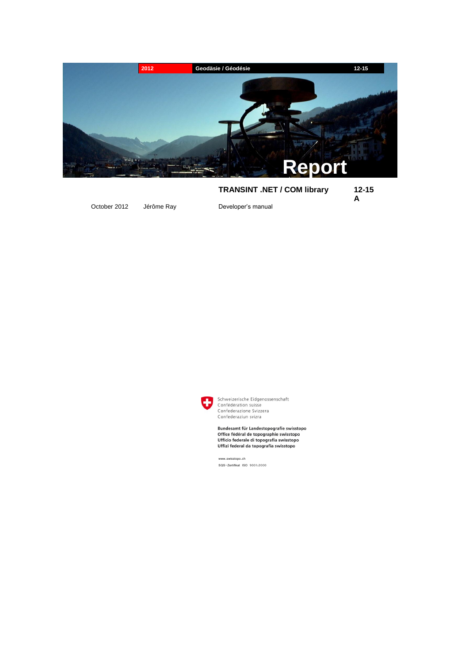

# **TRANSINT .NET / COM library 12-15**

**A**

October 2012 Jérôme Ray Developer's manual



Schweizerische Eidgenossenschaft Confédération suisse Confederazione Svizzera Confederaziun svizra

Bundesamt für Landestopografie swisstopo Office fédéral de topographie swisstopo Ufficio federale di topografia swisstopo Uffizi federal da topografia swisstopo

www.swisstopo.ch SQS-Zertifikat ISO 9001:2000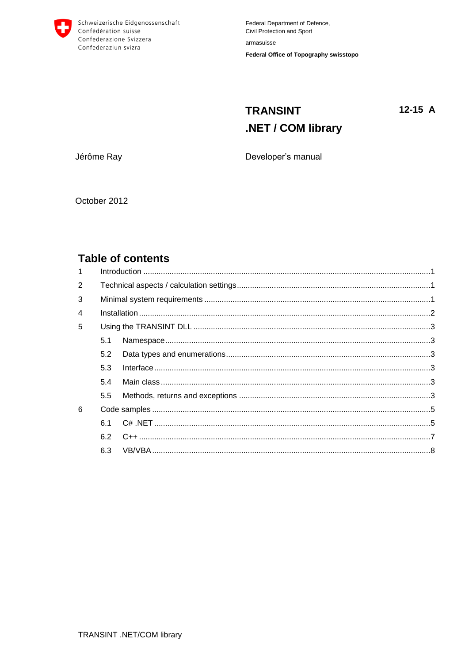

## **TRANSINT**  $12-15$  A .NET / COM library

Jérôme Ray

Developer's manual

October 2012

## **Table of contents**

| $\mathbf{1}$ |     |  |  |
|--------------|-----|--|--|
| 2            |     |  |  |
| 3            |     |  |  |
| 4            |     |  |  |
| 5            |     |  |  |
|              | 5.1 |  |  |
|              | 5.2 |  |  |
|              | 5.3 |  |  |
|              | 5.4 |  |  |
|              | 5.5 |  |  |
| 6            |     |  |  |
|              | 6.1 |  |  |
|              |     |  |  |
|              | 6.3 |  |  |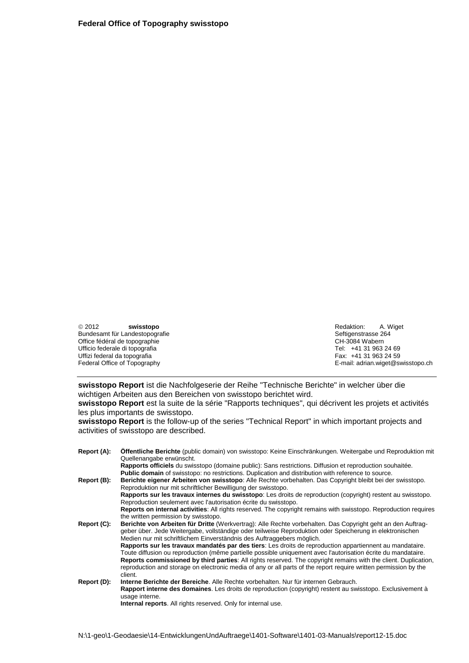2012 **swisstopo** Redaktion: A. Wiget Bundesamt für Landestopografie auf der anderen seine Seftigenstrasse 264<br>Office fédéral de topographie auf de seine Seftigenstrasse 264<br>CH-3084 Wabern Office fédéral de topographie de la community of the CH-3084 Wabern CH-3084 Wabern CH-3084 Wabern CH-3084 Wabern CH-3084 Wabern CH-3084 G9 (CH-3084 G9 (CH-3084 G9 (CH-3063 24 69 (CH-3063 24 69 (CH-3063 24 69 (CH-3063 24 69 Ufficio federale di topografia anno 1920 anno 2020 anno 2020. Tel: +41 31 963 24 69<br>Uffizi federal da topografia anno 2020 anno 2020 anno 2020 anno 2020. Tel: +41 31 963 24 59 Uffizi federal da topografia

Federal Office of Topography **E-mail: adrian.wiget@swisstopo.ch** 

**swisstopo Report** ist die Nachfolgeserie der Reihe "Technische Berichte" in welcher über die wichtigen Arbeiten aus den Bereichen von swisstopo berichtet wird.

**swisstopo Report** est la suite de la série "Rapports techniques", qui décrivent les projets et activités les plus importants de swisstopo.

**swisstopo Report** is the follow-up of the series "Technical Report" in which important projects and activities of swisstopo are described.

**Report (A): Öffentliche Berichte** (public domain) von swisstopo: Keine Einschränkungen. Weitergabe und Reproduktion mit Quellenangabe erwünscht. **Rapports officiels** du swisstopo (domaine public): Sans restrictions. Diffusion et reproduction souhaitée. **Public domain** of swisstopo: no restrictions. Duplication and distribution with reference to source. **Report (B): Berichte eigener Arbeiten von swisstopo**: Alle Rechte vorbehalten. Das Copyright bleibt bei der swisstopo. Reproduktion nur mit schriftlicher Bewilligung der swisstopo. **Rapports sur les travaux internes du swisstopo**: Les droits de reproduction (copyright) restent au swisstopo. Reproduction seulement avec l'autorisation écrite du swisstopo. **Reports on internal activities**: All rights reserved. The copyright remains with swisstopo. Reproduction requires the written permission by swisstopo. **Report (C): Berichte von Arbeiten für Dritte** (Werkvertrag): Alle Rechte vorbehalten. Das Copyright geht an den Auftraggeber über. Jede Weitergabe, vollständige oder teilweise Reproduktion oder Speicherung in elektronischen Medien nur mit schriftlichem Einverständnis des Auftraggebers möglich. **Rapports sur les travaux mandatés par des tiers**: Les droits de reproduction appartiennent au mandataire. Toute diffusion ou reproduction (même partielle possible uniquement avec l'autorisation écrite du mandataire. **Reports commissioned by third parties**: All rights reserved. The copyright remains with the client. Duplication, reproduction and storage on electronic media of any or all parts of the report require written permission by the client. **Report (D): Interne Berichte der Bereiche**. Alle Rechte vorbehalten. Nur für internen Gebrauch. **Rapport interne des domaines**. Les droits de reproduction (copyright) restent au swisstopo. Exclusivement à usage interne **Internal reports**. All rights reserved. Only for internal use.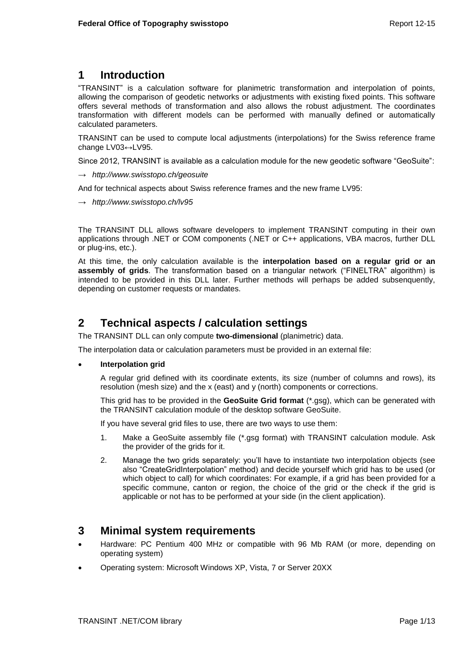## <span id="page-4-0"></span>**1 Introduction**

"TRANSINT" is a calculation software for planimetric transformation and interpolation of points, allowing the comparison of geodetic networks or adjustments with existing fixed points. This software offers several methods of transformation and also allows the robust adjustment. The coordinates transformation with different models can be performed with manually defined or automatically calculated parameters.

TRANSINT can be used to compute local adjustments (interpolations) for the Swiss reference frame change LV03↔LV95.

Since 2012, TRANSINT is available as a calculation module for the new geodetic software "GeoSuite":

→ *http://www.swisstopo.ch/geosuite*

And for technical aspects about Swiss reference frames and the new frame LV95:

→ *http://www.swisstopo.ch/lv95*

The TRANSINT DLL allows software developers to implement TRANSINT computing in their own applications through .NET or COM components (.NET or C++ applications, VBA macros, further DLL or plug-ins, etc.).

At this time, the only calculation available is the **interpolation based on a regular grid or an assembly of grids**. The transformation based on a triangular network ("FINELTRA" algorithm) is intended to be provided in this DLL later. Further methods will perhaps be added subsenquently, depending on customer requests or mandates.

## <span id="page-4-1"></span>**2 Technical aspects / calculation settings**

The TRANSINT DLL can only compute **two-dimensional** (planimetric) data.

The interpolation data or calculation parameters must be provided in an external file:

### **Interpolation grid**

A regular grid defined with its coordinate extents, its size (number of columns and rows), its resolution (mesh size) and the x (east) and y (north) components or corrections.

This grid has to be provided in the **GeoSuite Grid format** (\*.gsg), which can be generated with the TRANSINT calculation module of the desktop software GeoSuite.

If you have several grid files to use, there are two ways to use them:

- 1. Make a GeoSuite assembly file (\*.gsg format) with TRANSINT calculation module. Ask the provider of the grids for it.
- 2. Manage the two grids separately: you'll have to instantiate two interpolation objects (see also "CreateGridInterpolation" method) and decide yourself which grid has to be used (or which object to call) for which coordinates: For example, if a grid has been provided for a specific commune, canton or region, the choice of the grid or the check if the grid is applicable or not has to be performed at your side (in the client application).

## <span id="page-4-2"></span>**3 Minimal system requirements**

- Hardware: PC Pentium 400 MHz or compatible with 96 Mb RAM (or more, depending on operating system)
- Operating system: Microsoft Windows XP, Vista, 7 or Server 20XX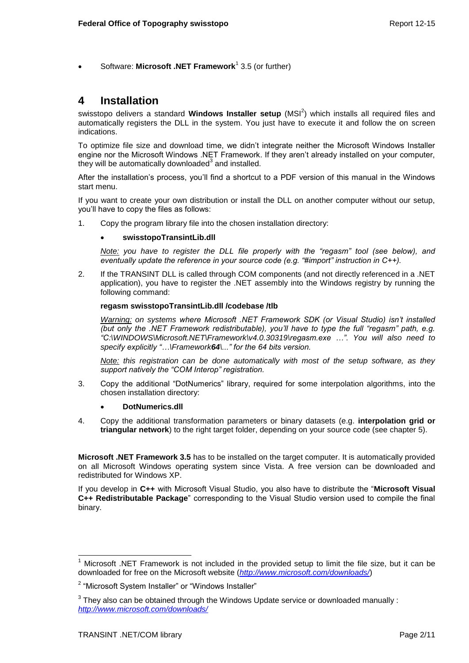• Software: Microsoft .NET Framework<sup>1</sup> 3.5 (or further)

## <span id="page-5-0"></span>**4 Installation**

swisstopo delivers a standard **Windows Installer setup** (MSI<sup>2</sup>) which installs all required files and automatically registers the DLL in the system. You just have to execute it and follow the on screen indications.

To optimize file size and download time, we didn't integrate neither the Microsoft Windows Installer engine nor the Microsoft Windows .NET Framework. If they aren't already installed on your computer, they will be automatically downloaded $^3$  and installed.

After the installation's process, you'll find a shortcut to a PDF version of this manual in the Windows start menu.

If you want to create your own distribution or install the DLL on another computer without our setup, you'll have to copy the files as follows:

1. Copy the program library file into the chosen installation directory:

### **swisstopoTransintLib.dll**

*Note: you have to register the DLL file properly with the "regasm" tool (see below), and eventually update the reference in your source code (e.g. "#import" instruction in C++).*

2. If the TRANSINT DLL is called through COM components (and not directly referenced in a .NET application), you have to register the .NET assembly into the Windows registry by running the following command:

#### **regasm swisstopoTransintLib.dll /codebase /tlb**

*Warning: on systems where Microsoft .NET Framework SDK (or Visual Studio) isn't installed (but only the .NET Framework redistributable), you'll have to type the full "regasm" path, e.g. "C:\WINDOWS\Microsoft.NET\Framework\v4.0.30319\regasm.exe …". You will also need to specify explicitly "…\Framework64\..." for the 64 bits version.*

*Note: this registration can be done automatically with most of the setup software, as they support natively the "COM Interop" registration.*

3. Copy the additional "DotNumerics" library, required for some interpolation algorithms, into the chosen installation directory:

### **DotNumerics.dll**

4. Copy the additional transformation parameters or binary datasets (e.g. **interpolation grid or triangular network**) to the right target folder, depending on your source code (see chapter [5\)](#page-6-0).

**Microsoft .NET Framework 3.5** has to be installed on the target computer. It is automatically provided on all Microsoft Windows operating system since Vista. A free version can be downloaded and redistributed for Windows XP.

If you develop in **C++** with Microsoft Visual Studio, you also have to distribute the "**Microsoft Visual C++ Redistributable Package**" corresponding to the Visual Studio version used to compile the final binary.

l <sup>1</sup> Microsoft .NET Framework is not included in the provided setup to limit the file size, but it can be downloaded for free on the Microsoft website (*<http://www.microsoft.com/downloads/>*)

<sup>&</sup>lt;sup>2</sup> "Microsoft System Installer" or "Windows Installer"

 $3$  They also can be obtained through the Windows Update service or downloaded manually : *<http://www.microsoft.com/downloads/>*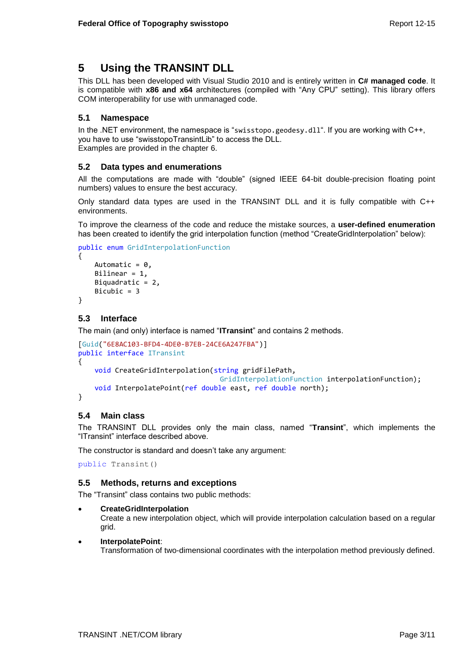## <span id="page-6-0"></span>**5 Using the TRANSINT DLL**

This DLL has been developed with Visual Studio 2010 and is entirely written in **C# managed code**. It is compatible with **x86 and x64** architectures (compiled with "Any CPU" setting). This library offers COM interoperability for use with unmanaged code.

## <span id="page-6-1"></span>**5.1 Namespace**

In the .NET environment, the namespace is "swisstopo.geodesy.dll". If you are working with C++, you have to use "swisstopoTransintLib" to access the DLL. Examples are provided in the chapter [6.](#page-8-0)

## <span id="page-6-2"></span>**5.2 Data types and enumerations**

All the computations are made with "double" (signed IEEE 64-bit double-precision floating point numbers) values to ensure the best accuracy.

Only standard data types are used in the TRANSINT DLL and it is fully compatible with C++ environments.

To improve the clearness of the code and reduce the mistake sources, a **user-defined enumeration**  has been created to identify the grid interpolation function (method "CreateGridInterpolation" below):

```
public enum GridInterpolationFunction
{
    Automatic = 0,
     Bilinear = 1,
    Biquadratic = 2,
     Bicubic = 3
}
```
## <span id="page-6-3"></span>**5.3 Interface**

The main (and only) interface is named "**ITransint**" and contains 2 methods.

```
[Guid("6E8AC103-BFD4-4DE0-B7EB-24CE6A247FBA")]
public interface ITransint
{
     void CreateGridInterpolation(string gridFilePath, 
                                   GridInterpolationFunction interpolationFunction);
     void InterpolatePoint(ref double east, ref double north);
}
```
## <span id="page-6-4"></span>**5.4 Main class**

The TRANSINT DLL provides only the main class, named "**Transint**", which implements the "ITransint" interface described above.

The constructor is standard and doesn't take any argument:

public Transint()

### <span id="page-6-5"></span>**5.5 Methods, returns and exceptions**

The "Transint" class contains two public methods:

**CreateGridInterpolation**

Create a new interpolation object, which will provide interpolation calculation based on a regular grid.

**InterpolatePoint**:

Transformation of two-dimensional coordinates with the interpolation method previously defined.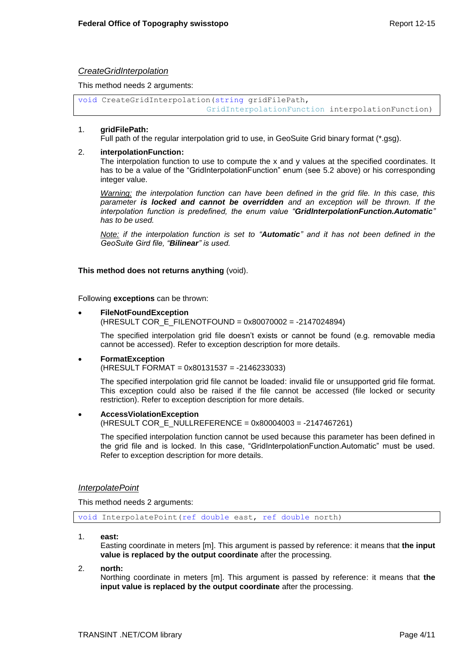### *CreateGridInterpolation*

This method needs 2 arguments:

```
void CreateGridInterpolation(string gridFilePath, 
                           GridInterpolationFunction interpolationFunction)
```
#### 1. **gridFilePath:**

Full path of the regular interpolation grid to use, in GeoSuite Grid binary format (\*.gsg).

#### 2. **interpolationFunction:**

The interpolation function to use to compute the x and y values at the specified coordinates. It has to be a value of the "GridInterpolationFunction" enum (see [5.2](#page-6-2) above) or his corresponding integer value.

*Warning: the interpolation function can have been defined in the grid file. In this case, this parameter is locked and cannot be overridden and an exception will be thrown. If the interpolation function is predefined, the enum value "GridInterpolationFunction.Automatic" has to be used.* 

*Note: if the interpolation function is set to "Automatic" and it has not been defined in the GeoSuite Gird file, "Bilinear" is used.*

#### **This method does not returns anything** (void).

Following **exceptions** can be thrown:

#### **FileNotFoundException**

(HRESULT COR\_E\_FILENOTFOUND = 0x80070002 = -2147024894)

The specified interpolation grid file doesn't exists or cannot be found (e.g. removable media cannot be accessed). Refer to exception description for more details.

 **FormatException** (HRESULT FORMAT = 0x80131537 = -2146233033)

The specified interpolation grid file cannot be loaded: invalid file or unsupported grid file format. This exception could also be raised if the file cannot be accessed (file locked or security restriction). Refer to exception description for more details.

**AccessViolationException**

(HRESULT COR\_E\_NULLREFERENCE = 0x80004003 = -2147467261)

The specified interpolation function cannot be used because this parameter has been defined in the grid file and is locked. In this case, "GridInterpolationFunction.Automatic" must be used. Refer to exception description for more details.

#### *InterpolatePoint*

This method needs 2 arguments:

void InterpolatePoint(ref double east, ref double north)

1. **east:**

Easting coordinate in meters [m]. This argument is passed by reference: it means that **the input value is replaced by the output coordinate** after the processing.

2. **north:**

Northing coordinate in meters [m]. This argument is passed by reference: it means that **the input value is replaced by the output coordinate** after the processing.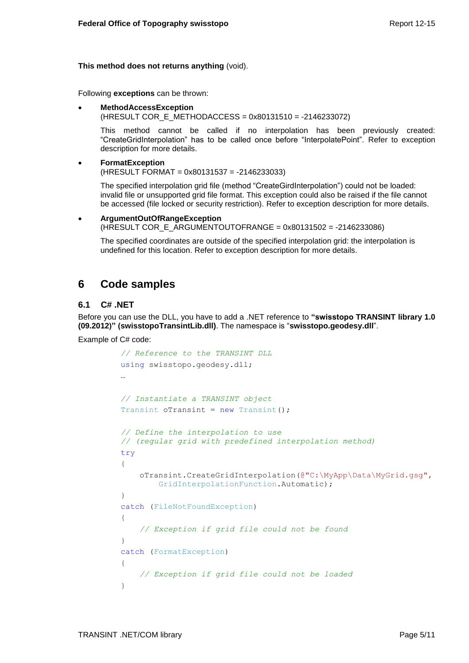### **This method does not returns anything** (void).

Following **exceptions** can be thrown:

 **MethodAccessException** (HRESULT COR\_E\_METHODACCESS = 0x80131510 = -2146233072)

This method cannot be called if no interpolation has been previously created: "CreateGridInterpolation" has to be called once before "InterpolatePoint". Refer to exception description for more details.

```
 FormatException
(HRESULT FORMAT = 0x80131537 = -2146233033)
```
The specified interpolation grid file (method "CreateGirdInterpolation") could not be loaded: invalid file or unsupported grid file format. This exception could also be raised if the file cannot be accessed (file locked or security restriction). Refer to exception description for more details.

```
 ArgumentOutOfRangeException
```
(HRESULT COR\_E\_ARGUMENTOUTOFRANGE = 0x80131502 = -2146233086)

The specified coordinates are outside of the specified interpolation grid: the interpolation is undefined for this location. Refer to exception description for more details.

## <span id="page-8-0"></span>**6 Code samples**

### <span id="page-8-1"></span>**6.1 C# .NET**

Before you can use the DLL, you have to add a .NET reference to **"swisstopo TRANSINT library 1.0 (09.2012)" (swisstopoTransintLib.dll)**. The namespace is "**swisstopo.geodesy.dll**".

Example of C# code:

```
// Reference to the TRANSINT DLL 
using swisstopo.geodesy.dll;
…
// Instantiate a TRANSINT object
Transint oTransint = new Transint();
// Define the interpolation to use
// (regular grid with predefined interpolation method)
try
{
     oTransint.CreateGridInterpolation(@"C:\MyApp\Data\MyGrid.gsg",
        GridInterpolationFunction.Automatic);
}
catch (FileNotFoundException)
{
     // Exception if grid file could not be found
}
catch (FormatException)
{
     // Exception if grid file could not be loaded
}
```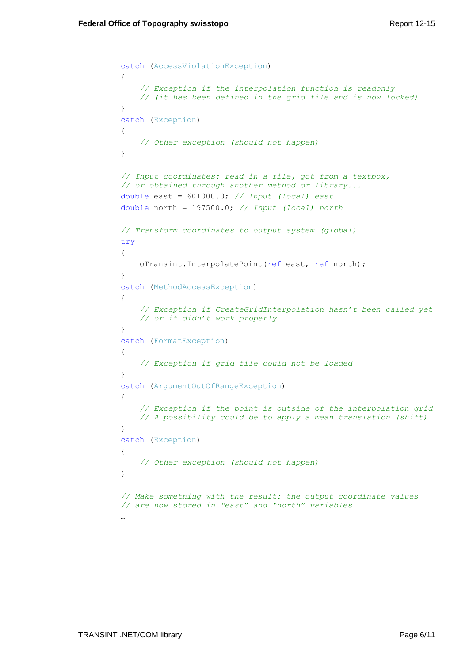```
catch (AccessViolationException)
{
     // Exception if the interpolation function is readonly 
     // (it has been defined in the grid file and is now locked)
}
catch (Exception)
{
    // Other exception (should not happen)
}
// Input coordinates: read in a file, got from a textbox, 
// or obtained through another method or library...
double east = 601000.0; // Input (local) east
double north = 197500.0; // Input (local) north
// Transform coordinates to output system (global)
try
{
    oTransint.InterpolatePoint(ref east, ref north);
}
catch (MethodAccessException)
{
     // Exception if CreateGridInterpolation hasn't been called yet 
    // or if didn't work properly
}
catch (FormatException)
{
     // Exception if grid file could not be loaded
}
catch (ArgumentOutOfRangeException)
{
     // Exception if the point is outside of the interpolation grid
     // A possibility could be to apply a mean translation (shift)
}
catch (Exception)
{
    // Other exception (should not happen)
}
// Make something with the result: the output coordinate values
// are now stored in "east" and "north" variables
…
```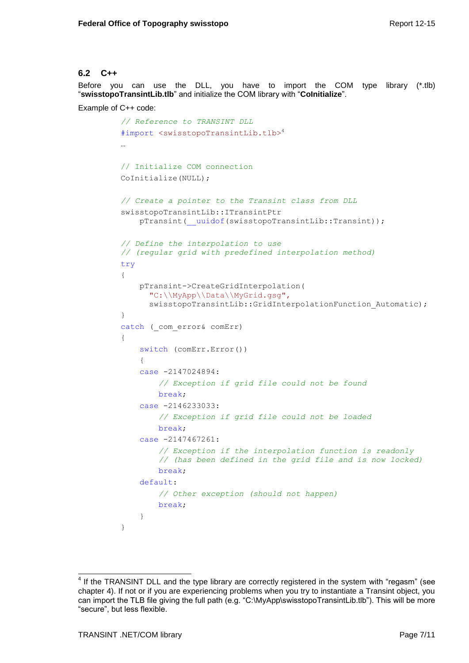### <span id="page-10-0"></span>**6.2 C++**

Before you can use the DLL, you have to import the COM type library (\*.tlb) "**swisstopoTransintLib.tlb**" and initialize the COM library with "**CoInitialize**".

Example of C++ code:

```
// Reference to TRANSINT DLL
#import <swisstopoTransintLib.tlb>4
…
// Initialize COM connection
CoInitialize(NULL);
// Create a pointer to the Transint class from DLL
swisstopoTransintLib::ITransintPtr 
     pTransint(__uuidof(swisstopoTransintLib::Transint));
// Define the interpolation to use 
// (regular grid with predefined interpolation method)
try
{
     pTransint->CreateGridInterpolation(
       "C:\\MyApp\\Data\\MyGrid.gsg",
      swisstopoTransintLib::GridInterpolationFunction Automatic);
}
catch ( com error& comErr)
{
     switch (comErr.Error())
     {
     case -2147024894:
         // Exception if grid file could not be found
         break;
     case -2146233033:
         // Exception if grid file could not be loaded
         break;
     case -2147467261:
         // Exception if the interpolation function is readonly 
         // (has been defined in the grid file and is now locked)
         break;
     default:
         // Other exception (should not happen)
         break;
     }
}
```
j  $4$  If the TRANSINT DLL and the type library are correctly registered in the system with "regasm" (see chapter [4\)](#page-5-0). If not or if you are experiencing problems when you try to instantiate a Transint object, you can import the TLB file giving the full path (e.g. "C:\MyApp\swisstopoTransintLib.tlb"). This will be more "secure", but less flexible.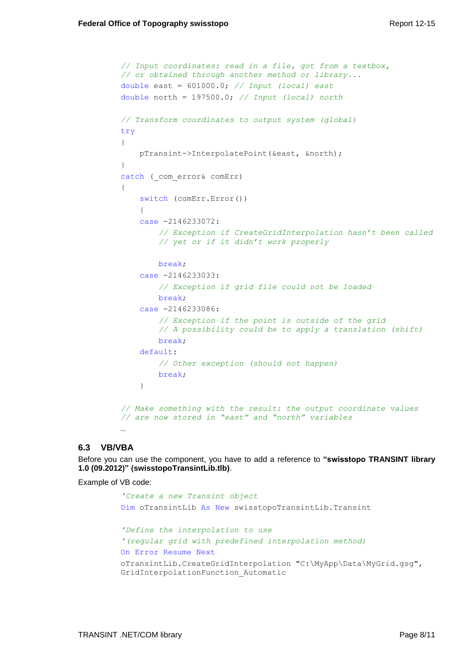```
// Input coordinates: read in a file, got from a textbox, 
// or obtained through another method or library...
double east = 601000.0; // Input (local) east
double north = 197500.0; // Input (local) north
// Transform coordinates to output system (global)
try
{
     pTransint->InterpolatePoint(&east, &north);
}
catch (_com_error& comErr)
{
     switch (comErr.Error())
     {
     case -2146233072:
         // Exception if CreateGridInterpolation hasn't been called 
         // yet or if it didn't work properly
         break;
     case -2146233033:
         // Exception if grid file could not be loaded
         break;
     case -2146233086:
         // Exception if the point is outside of the grid
         // A possibility could be to apply a translation (shift)
         break;
     default:
         // Other exception (should not happen)
         break;
     }
// Make something with the result: the output coordinate values 
// are now stored in "east" and "north" variables
…
```
## <span id="page-11-0"></span>**6.3 VB/VBA**

Before you can use the component, you have to add a reference to **"swisstopo TRANSINT library 1.0 (09.2012)" (swisstopoTransintLib.tlb)**.

Example of VB code:

```
'Create a new Transint object
Dim oTransintLib As New swisstopoTransintLib.Transint
'Define the interpolation to use 
'(regular grid with predefined interpolation method)
On Error Resume Next
oTransintLib.CreateGridInterpolation "C:\MyApp\Data\MyGrid.gsg", 
GridInterpolationFunction_Automatic
```